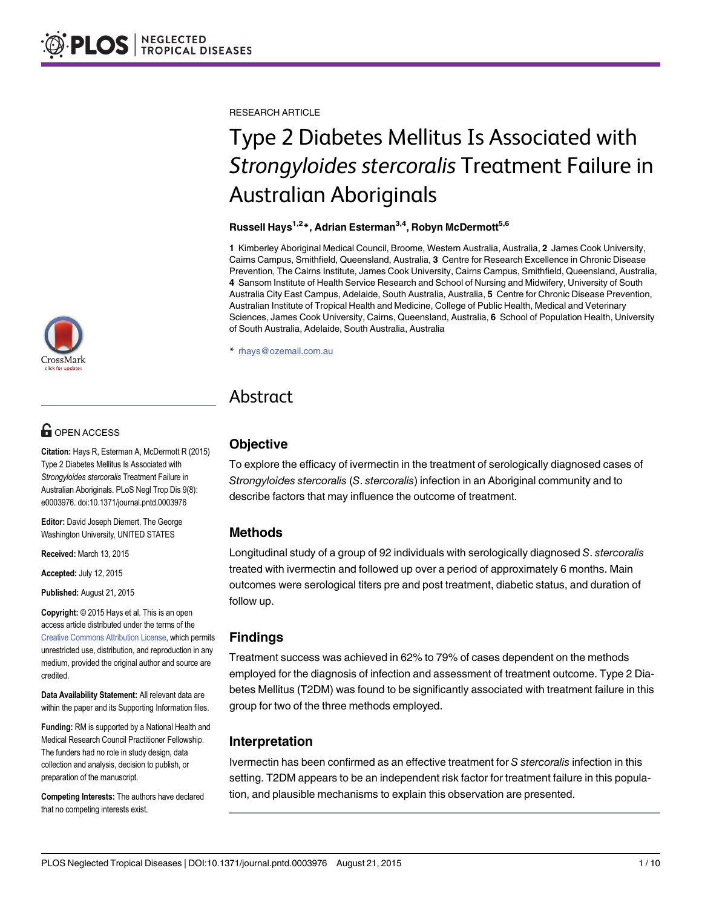RESEARCH ARTICLE

# Type 2 Diabetes Mellitus Is Associated with Strongyloides stercoralis Treatment Failure in Australian Aboriginals

#### Russell Hays<sup>1,2\*</sup>, Adrian Esterman<sup>3,4</sup>, Robyn McDermott<sup>5,6</sup>

1 Kimberley Aboriginal Medical Council, Broome, Western Australia, Australia, 2 James Cook University, Cairns Campus, Smithfield, Queensland, Australia, 3 Centre for Research Excellence in Chronic Disease Prevention, The Cairns Institute, James Cook University, Cairns Campus, Smithfield, Queensland, Australia, 4 Sansom Institute of Health Service Research and School of Nursing and Midwifery, University of South Australia City East Campus, Adelaide, South Australia, Australia, 5 Centre for Chronic Disease Prevention, Australian Institute of Tropical Health and Medicine, College of Public Health, Medical and Veterinary Sciences, James Cook University, Cairns, Queensland, Australia, 6 School of Population Health, University of South Australia, Adelaide, South Australia, Australia

\* rhays@ozemail.com.au

# Abstract

# **Objective**

To explore the efficacy of ivermectin in the treatment of serologically diagnosed cases of Strongyloides stercoralis (S. stercoralis) infection in an Aboriginal community and to describe factors that may influence the outcome of treatment.

# Methods

Longitudinal study of a group of 92 individuals with serologically diagnosed S. stercoralis treated with ivermectin and followed up over a period of approximately 6 months. Main outcomes were serological titers pre and post treatment, diabetic status, and duration of follow up.

# Findings

Treatment success was achieved in 62% to 79% of cases dependent on the methods employed for the diagnosis of infection and assessment of treatment outcome. Type 2 Diabetes Mellitus (T2DM) was found to be significantly associated with treatment failure in this group for two of the three methods employed.

# Interpretation

Ivermectin has been confirmed as an effective treatment for S stercoralis infection in this setting. T2DM appears to be an independent risk factor for treatment failure in this population, and plausible mechanisms to explain this observation are presented.



# **OPEN ACCESS**

Citation: Hays R, Esterman A, McDermott R (2015) Type 2 Diabetes Mellitus Is Associated with Strongyloides stercoralis Treatment Failure in Australian Aboriginals. PLoS Negl Trop Dis 9(8): e0003976. doi:10.1371/journal.pntd.0003976

Editor: David Joseph Diemert, The George Washington University, UNITED STATES

Received: March 13, 2015

Accepted: July 12, 2015

Published: August 21, 2015

Copyright: © 2015 Hays et al. This is an open access article distributed under the terms of the [Creative Commons Attribution License,](http://creativecommons.org/licenses/by/4.0/) which permits unrestricted use, distribution, and reproduction in any medium, provided the original author and source are credited.

Data Availability Statement: All relevant data are within the paper and its Supporting Information files.

Funding: RM is supported by a National Health and Medical Research Council Practitioner Fellowship. The funders had no role in study design, data collection and analysis, decision to publish, or preparation of the manuscript.

Competing Interests: The authors have declared that no competing interests exist.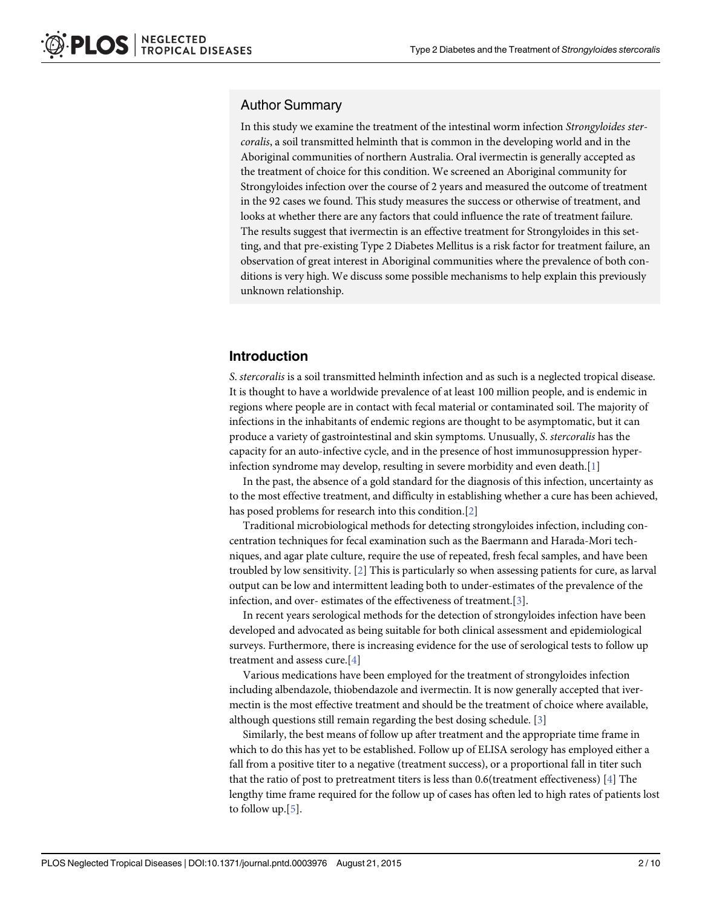### <span id="page-1-0"></span>Author Summary

In this study we examine the treatment of the intestinal worm infection Strongyloides stercoralis, a soil transmitted helminth that is common in the developing world and in the Aboriginal communities of northern Australia. Oral ivermectin is generally accepted as the treatment of choice for this condition. We screened an Aboriginal community for Strongyloides infection over the course of 2 years and measured the outcome of treatment in the 92 cases we found. This study measures the success or otherwise of treatment, and looks at whether there are any factors that could influence the rate of treatment failure. The results suggest that ivermectin is an effective treatment for Strongyloides in this setting, and that pre-existing Type 2 Diabetes Mellitus is a risk factor for treatment failure, an observation of great interest in Aboriginal communities where the prevalence of both conditions is very high. We discuss some possible mechanisms to help explain this previously unknown relationship.

### Introduction

S. stercoralis is a soil transmitted helminth infection and as such is a neglected tropical disease. It is thought to have a worldwide prevalence of at least 100 million people, and is endemic in regions where people are in contact with fecal material or contaminated soil. The majority of infections in the inhabitants of endemic regions are thought to be asymptomatic, but it can produce a variety of gastrointestinal and skin symptoms. Unusually, S. stercoralis has the capacity for an auto-infective cycle, and in the presence of host immunosuppression hyper-infection syndrome may develop, resulting in severe morbidity and even death.[[1](#page-8-0)]

In the past, the absence of a gold standard for the diagnosis of this infection, uncertainty as to the most effective treatment, and difficulty in establishing whether a cure has been achieved, has posed problems for research into this condition.[[2\]](#page-8-0)

Traditional microbiological methods for detecting strongyloides infection, including concentration techniques for fecal examination such as the Baermann and Harada-Mori techniques, and agar plate culture, require the use of repeated, fresh fecal samples, and have been troubled by low sensitivity. [\[2\]](#page-8-0) This is particularly so when assessing patients for cure, as larval output can be low and intermittent leading both to under-estimates of the prevalence of the infection, and over- estimates of the effectiveness of treatment.[[3](#page-8-0)].

In recent years serological methods for the detection of strongyloides infection have been developed and advocated as being suitable for both clinical assessment and epidemiological surveys. Furthermore, there is increasing evidence for the use of serological tests to follow up treatment and assess cure.[[4](#page-8-0)]

Various medications have been employed for the treatment of strongyloides infection including albendazole, thiobendazole and ivermectin. It is now generally accepted that ivermectin is the most effective treatment and should be the treatment of choice where available, although questions still remain regarding the best dosing schedule. [[3\]](#page-8-0)

Similarly, the best means of follow up after treatment and the appropriate time frame in which to do this has yet to be established. Follow up of ELISA serology has employed either a fall from a positive titer to a negative (treatment success), or a proportional fall in titer such that the ratio of post to pretreatment titers is less than  $0.6$  (treatment effectiveness) [[4](#page-8-0)] The lengthy time frame required for the follow up of cases has often led to high rates of patients lost to follow up.  $[5]$  $[5]$ .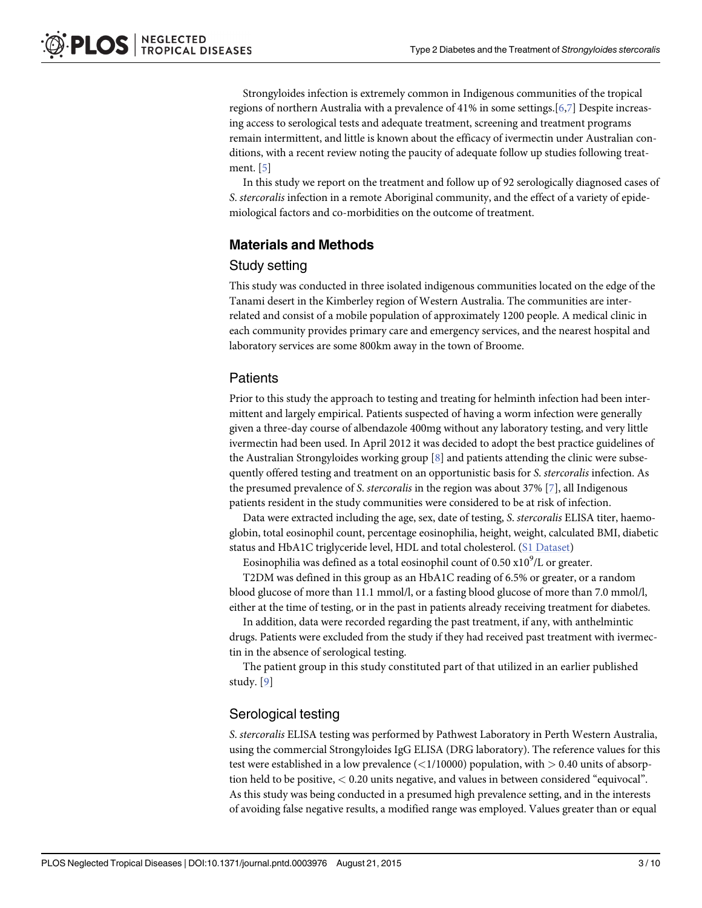<span id="page-2-0"></span>Strongyloides infection is extremely common in Indigenous communities of the tropical regions of northern Australia with a prevalence of 41% in some settings.[\[6,7](#page-8-0)] Despite increasing access to serological tests and adequate treatment, screening and treatment programs remain intermittent, and little is known about the efficacy of ivermectin under Australian conditions, with a recent review noting the paucity of adequate follow up studies following treatment. [[5](#page-8-0)]

In this study we report on the treatment and follow up of 92 serologically diagnosed cases of S. stercoralis infection in a remote Aboriginal community, and the effect of a variety of epidemiological factors and co-morbidities on the outcome of treatment.

# Materials and Methods

#### Study setting

This study was conducted in three isolated indigenous communities located on the edge of the Tanami desert in the Kimberley region of Western Australia. The communities are interrelated and consist of a mobile population of approximately 1200 people. A medical clinic in each community provides primary care and emergency services, and the nearest hospital and laboratory services are some 800km away in the town of Broome.

# **Patients**

Prior to this study the approach to testing and treating for helminth infection had been intermittent and largely empirical. Patients suspected of having a worm infection were generally given a three-day course of albendazole 400mg without any laboratory testing, and very little ivermectin had been used. In April 2012 it was decided to adopt the best practice guidelines of the Australian Strongyloides working group  $[8]$  $[8]$  and patients attending the clinic were subsequently offered testing and treatment on an opportunistic basis for S. stercoralis infection. As the presumed prevalence of S. stercoralis in the region was about 37%  $[7]$  $[7]$ , all Indigenous patients resident in the study communities were considered to be at risk of infection.

Data were extracted including the age, sex, date of testing, S. stercoralis ELISA titer, haemoglobin, total eosinophil count, percentage eosinophilia, height, weight, calculated BMI, diabetic status and HbA1C triglyceride level, HDL and total cholesterol. ([S1 Dataset](#page-7-0))

Eosinophilia was defined as a total eosinophil count of 0.50  $\text{x}10^9$ /L or greater.

T2DM was defined in this group as an HbA1C reading of 6.5% or greater, or a random blood glucose of more than 11.1 mmol/l, or a fasting blood glucose of more than 7.0 mmol/l, either at the time of testing, or in the past in patients already receiving treatment for diabetes.

In addition, data were recorded regarding the past treatment, if any, with anthelmintic drugs. Patients were excluded from the study if they had received past treatment with ivermectin in the absence of serological testing.

The patient group in this study constituted part of that utilized in an earlier published study. [\[9](#page-8-0)]

# Serological testing

S. stercoralis ELISA testing was performed by Pathwest Laboratory in Perth Western Australia, using the commercial Strongyloides IgG ELISA (DRG laboratory). The reference values for this test were established in a low prevalence  $\left( \frac{1}{10000} \right)$  population, with  $> 0.40$  units of absorption held to be positive, < 0.20 units negative, and values in between considered "equivocal". As this study was being conducted in a presumed high prevalence setting, and in the interests of avoiding false negative results, a modified range was employed. Values greater than or equal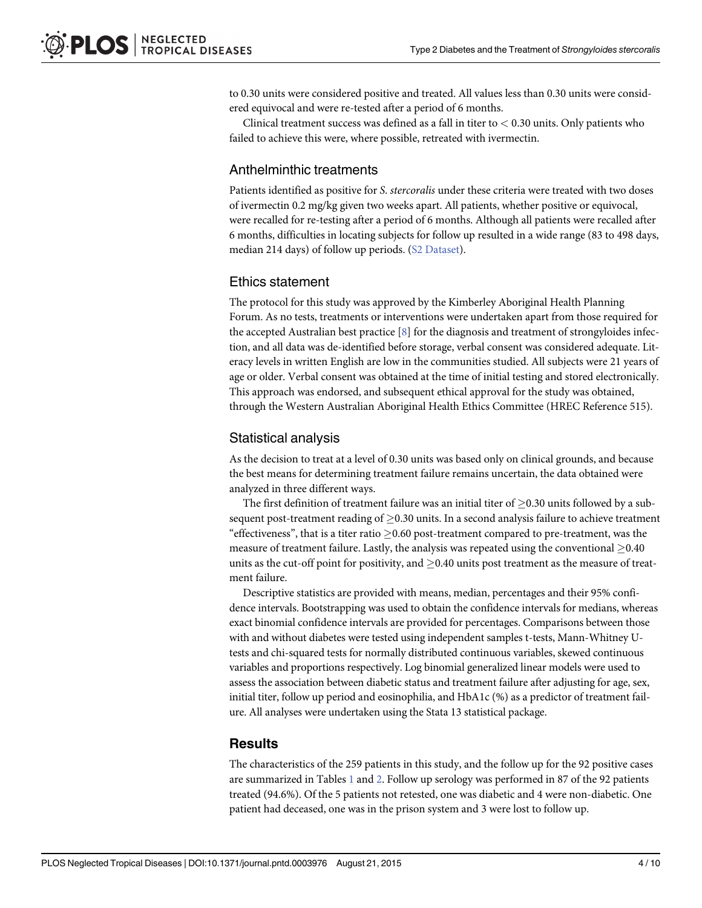<span id="page-3-0"></span>to 0.30 units were considered positive and treated. All values less than 0.30 units were considered equivocal and were re-tested after a period of 6 months.

Clinical treatment success was defined as a fall in titer to  $< 0.30$  units. Only patients who failed to achieve this were, where possible, retreated with ivermectin.

#### Anthelminthic treatments

Patients identified as positive for S. stercoralis under these criteria were treated with two doses of ivermectin 0.2 mg/kg given two weeks apart. All patients, whether positive or equivocal, were recalled for re-testing after a period of 6 months. Although all patients were recalled after 6 months, difficulties in locating subjects for follow up resulted in a wide range (83 to 498 days, median 214 days) of follow up periods. [\(S2 Dataset\)](#page-7-0).

#### Ethics statement

The protocol for this study was approved by the Kimberley Aboriginal Health Planning Forum. As no tests, treatments or interventions were undertaken apart from those required for the accepted Australian best practice  $[8]$  $[8]$  for the diagnosis and treatment of strongyloides infection, and all data was de-identified before storage, verbal consent was considered adequate. Literacy levels in written English are low in the communities studied. All subjects were 21 years of age or older. Verbal consent was obtained at the time of initial testing and stored electronically. This approach was endorsed, and subsequent ethical approval for the study was obtained, through the Western Australian Aboriginal Health Ethics Committee (HREC Reference 515).

#### Statistical analysis

As the decision to treat at a level of 0.30 units was based only on clinical grounds, and because the best means for determining treatment failure remains uncertain, the data obtained were analyzed in three different ways.

The first definition of treatment failure was an initial titer of  $\geq$  0.30 units followed by a subsequent post-treatment reading of  $\geq$  0.30 units. In a second analysis failure to achieve treatment "effectiveness", that is a titer ratio  $\geq$  0.60 post-treatment compared to pre-treatment, was the measure of treatment failure. Lastly, the analysis was repeated using the conventional  $\geq$ 0.40 units as the cut-off point for positivity, and  $\geq$  0.40 units post treatment as the measure of treatment failure.

Descriptive statistics are provided with means, median, percentages and their 95% confidence intervals. Bootstrapping was used to obtain the confidence intervals for medians, whereas exact binomial confidence intervals are provided for percentages. Comparisons between those with and without diabetes were tested using independent samples t-tests, Mann-Whitney Utests and chi-squared tests for normally distributed continuous variables, skewed continuous variables and proportions respectively. Log binomial generalized linear models were used to assess the association between diabetic status and treatment failure after adjusting for age, sex, initial titer, follow up period and eosinophilia, and HbA1c (%) as a predictor of treatment failure. All analyses were undertaken using the Stata 13 statistical package.

#### **Results**

The characteristics of the 259 patients in this study, and the follow up for the 92 positive cases are summarized in Tables  $1$  and  $2$ . Follow up serology was performed in 87 of the 92 patients treated (94.6%). Of the 5 patients not retested, one was diabetic and 4 were non-diabetic. One patient had deceased, one was in the prison system and 3 were lost to follow up.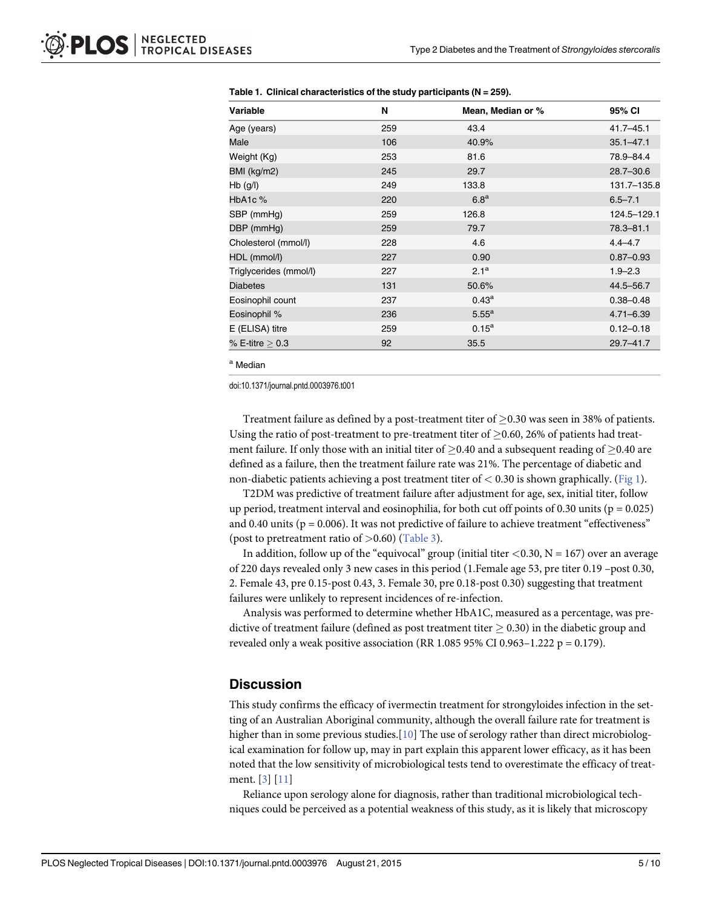| <b>Variable</b>        | N   | Mean, Median or % | 95% CI        |
|------------------------|-----|-------------------|---------------|
| Age (years)            | 259 | 43.4              | $41.7 - 45.1$ |
| Male                   | 106 | 40.9%             | $35.1 - 47.1$ |
| Weight (Kg)            | 253 | 81.6              | 78.9-84.4     |
| BMI (kg/m2)            | 245 | 29.7              | $28.7 - 30.6$ |
| $Hb$ (g/l)             | 249 | 133.8             | 131.7-135.8   |
| HbA <sub>1</sub> c $%$ | 220 | 6.8 <sup>a</sup>  | $6.5 - 7.1$   |
| SBP (mmHg)             | 259 | 126.8             | 124.5-129.1   |
| DBP (mmHg)             | 259 | 79.7              | $78.3 - 81.1$ |
| Cholesterol (mmol/l)   | 228 | 4.6               | $4.4 - 4.7$   |
| HDL (mmol/l)           | 227 | 0.90              | $0.87 - 0.93$ |
| Triglycerides (mmol/l) | 227 | 2.1 <sup>a</sup>  | $1.9 - 2.3$   |
| <b>Diabetes</b>        | 131 | 50.6%             | 44.5-56.7     |
| Eosinophil count       | 237 | $0.43^{\rm a}$    | $0.38 - 0.48$ |
| Eosinophil %           | 236 | $5.55^{\text{a}}$ | $4.71 - 6.39$ |
| E (ELISA) titre        | 259 | $0.15^{\rm a}$    | $0.12 - 0.18$ |
| $%$ E-titre $> 0.3$    | 92  | 35.5              | $29.7 - 41.7$ |

<span id="page-4-0"></span>

| Table 1. Clinical characteristics of the study participants ( $N = 259$ ). |  |
|----------------------------------------------------------------------------|--|
|----------------------------------------------------------------------------|--|

<sup>a</sup> Median

doi:10.1371/journal.pntd.0003976.t001

Treatment failure as defined by a post-treatment titer of  $> 0.30$  was seen in 38% of patients. Using the ratio of post-treatment to pre-treatment titer of  $\geq$  0.60, 26% of patients had treatment failure. If only those with an initial titer of  $\geq$ 0.40 and a subsequent reading of  $\geq$ 0.40 are defined as a failure, then the treatment failure rate was 21%. The percentage of diabetic and non-diabetic patients achieving a post treatment titer of  $< 0.30$  is shown graphically. [\(Fig 1\)](#page-5-0).

T2DM was predictive of treatment failure after adjustment for age, sex, initial titer, follow up period, treatment interval and eosinophilia, for both cut off points of  $0.30$  units ( $p = 0.025$ ) and 0.40 units ( $p = 0.006$ ). It was not predictive of failure to achieve treatment "effectiveness" (post to pretreatment ratio of  $>0.60$ ) [\(Table 3\)](#page-6-0).

In addition, follow up of the "equivocal" group (initial titer  $\langle 0.30, N = 167 \rangle$  over an average of 220 days revealed only 3 new cases in this period (1.Female age 53, pre titer 0.19 –post 0.30, 2. Female 43, pre 0.15-post 0.43, 3. Female 30, pre 0.18-post 0.30) suggesting that treatment failures were unlikely to represent incidences of re-infection.

Analysis was performed to determine whether HbA1C, measured as a percentage, was predictive of treatment failure (defined as post treatment titer  $\geq 0.30$ ) in the diabetic group and revealed only a weak positive association (RR 1.085 95% CI 0.963-1.222 p = 0.179).

#### **Discussion**

This study confirms the efficacy of ivermectin treatment for strongyloides infection in the setting of an Australian Aboriginal community, although the overall failure rate for treatment is higher than in some previous studies.  $[10]$  $[10]$  The use of serology rather than direct microbiological examination for follow up, may in part explain this apparent lower efficacy, as it has been noted that the low sensitivity of microbiological tests tend to overestimate the efficacy of treatment. [[3](#page-8-0)] [\[11](#page-8-0)]

Reliance upon serology alone for diagnosis, rather than traditional microbiological techniques could be perceived as a potential weakness of this study, as it is likely that microscopy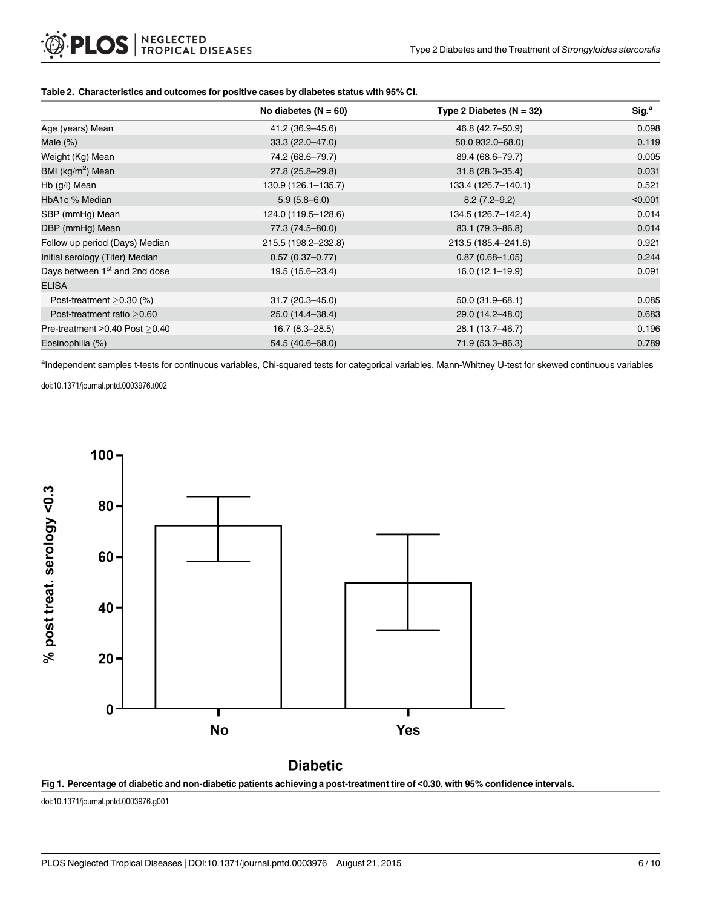#### <span id="page-5-0"></span>[Table 2.](#page-3-0) Characteristics and outcomes for positive cases by diabetes status with 95% CI.

|                                           | No diabetes $(N = 60)$ | Type 2 Diabetes $(N = 32)$ | Sig. <sup>a</sup> |
|-------------------------------------------|------------------------|----------------------------|-------------------|
| Age (years) Mean                          | 41.2 (36.9–45.6)       | 46.8 (42.7–50.9)           | 0.098             |
| Male $(\%)$                               | $33.3(22.0 - 47.0)$    | 50.0 932.0 - 68.0)         | 0.119             |
| Weight (Kg) Mean                          | 74.2 (68.6–79.7)       | 89.4 (68.6-79.7)           | 0.005             |
| BMI (kg/m <sup>2</sup> ) Mean             | 27.8 (25.8-29.8)       | $31.8(28.3 - 35.4)$        | 0.031             |
| Hb (g/l) Mean                             | 130.9 (126.1-135.7)    | 133.4 (126.7-140.1)        | 0.521             |
| HbA1c % Median                            | $5.9(5.8 - 6.0)$       | $8.2(7.2 - 9.2)$           | < 0.001           |
| SBP (mmHg) Mean                           | 124.0 (119.5-128.6)    | 134.5 (126.7-142.4)        | 0.014             |
| DBP (mmHg) Mean                           | 77.3 (74.5-80.0)       | 83.1 (79.3–86.8)           | 0.014             |
| Follow up period (Days) Median            | 215.5 (198.2-232.8)    | 213.5 (185.4-241.6)        | 0.921             |
| Initial serology (Titer) Median           | $0.57(0.37-0.77)$      | $0.87(0.68 - 1.05)$        | 0.244             |
| Days between 1 <sup>st</sup> and 2nd dose | 19.5 (15.6-23.4)       | $16.0(12.1-19.9)$          | 0.091             |
| <b>ELISA</b>                              |                        |                            |                   |
| Post-treatment $>0.30$ (%)                | $31.7(20.3 - 45.0)$    | $50.0(31.9 - 68.1)$        | 0.085             |
| Post-treatment ratio > 0.60               | 25.0 (14.4-38.4)       | 29.0 (14.2-48.0)           | 0.683             |
| Pre-treatment $>0.40$ Post $>0.40$        | $16.7(8.3 - 28.5)$     | 28.1 (13.7–46.7)           | 0.196             |
| Eosinophilia (%)                          | 54.5 (40.6-68.0)       | 71.9 (53.3-86.3)           | 0.789             |

alndependent samples t-tests for continuous variables, Chi-squared tests for categorical variables, Mann-Whitney U-test for skewed continuous variables

doi:10.1371/journal.pntd.0003976.t002



# **Diabetic**



doi:10.1371/journal.pntd.0003976.g001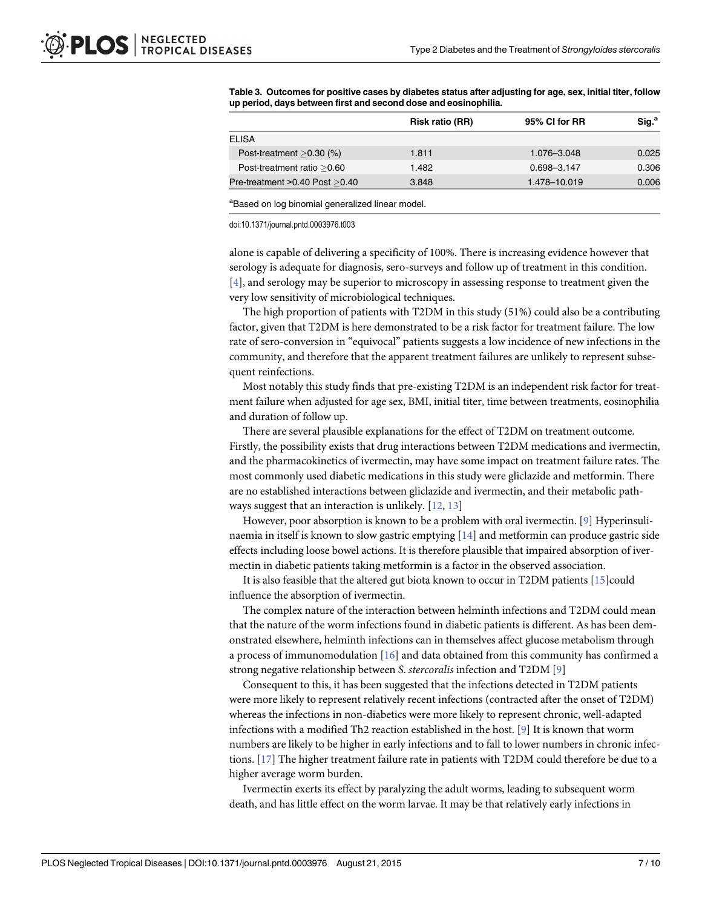|                                  | <b>Risk ratio (RR)</b> | 95% CI for RR | Sig. <sup>a</sup> |
|----------------------------------|------------------------|---------------|-------------------|
| <b>ELISA</b>                     |                        |               |                   |
| Post-treatment $>0.30$ (%)       | 1.811                  | 1.076-3.048   | 0.025             |
| Post-treatment ratio > 0.60      | 1.482                  | 0.698-3.147   | 0.306             |
| Pre-treatment > 0.40 Post > 0.40 | 3.848                  | 1.478-10.019  | 0.006             |

<span id="page-6-0"></span>[Table 3.](#page-4-0) Outcomes for positive cases by diabetes status after adjusting for age, sex, initial titer, follow up period, days between first and second dose and eosinophilia.

<sup>a</sup>Based on log binomial generalized linear model.

doi:10.1371/journal.pntd.0003976.t003

alone is capable of delivering a specificity of 100%. There is increasing evidence however that serology is adequate for diagnosis, sero-surveys and follow up of treatment in this condition. [\[4](#page-8-0)], and serology may be superior to microscopy in assessing response to treatment given the very low sensitivity of microbiological techniques.

The high proportion of patients with T2DM in this study (51%) could also be a contributing factor, given that T2DM is here demonstrated to be a risk factor for treatment failure. The low rate of sero-conversion in "equivocal" patients suggests a low incidence of new infections in the community, and therefore that the apparent treatment failures are unlikely to represent subsequent reinfections.

Most notably this study finds that pre-existing T2DM is an independent risk factor for treatment failure when adjusted for age sex, BMI, initial titer, time between treatments, eosinophilia and duration of follow up.

There are several plausible explanations for the effect of T2DM on treatment outcome. Firstly, the possibility exists that drug interactions between T2DM medications and ivermectin, and the pharmacokinetics of ivermectin, may have some impact on treatment failure rates. The most commonly used diabetic medications in this study were gliclazide and metformin. There are no established interactions between gliclazide and ivermectin, and their metabolic pathways suggest that an interaction is unlikely. [\[12](#page-8-0), [13](#page-8-0)]

However, poor absorption is known to be a problem with oral ivermectin. [[9\]](#page-8-0) Hyperinsulinaemia in itself is known to slow gastric emptying  $[14]$  $[14]$  $[14]$  and metformin can produce gastric side effects including loose bowel actions. It is therefore plausible that impaired absorption of ivermectin in diabetic patients taking metformin is a factor in the observed association.

It is also feasible that the altered gut biota known to occur in T2DM patients  $[15]$  $[15]$  $[15]$ could influence the absorption of ivermectin.

The complex nature of the interaction between helminth infections and T2DM could mean that the nature of the worm infections found in diabetic patients is different. As has been demonstrated elsewhere, helminth infections can in themselves affect glucose metabolism through a process of immunomodulation  $[16]$  and data obtained from this community has confirmed a strong negative relationship between S. stercoralis infection and T2DM [\[9](#page-8-0)]

Consequent to this, it has been suggested that the infections detected in T2DM patients were more likely to represent relatively recent infections (contracted after the onset of T2DM) whereas the infections in non-diabetics were more likely to represent chronic, well-adapted infections with a modified Th2 reaction established in the host. [[9](#page-8-0)] It is known that worm numbers are likely to be higher in early infections and to fall to lower numbers in chronic infections. [[17](#page-8-0)] The higher treatment failure rate in patients with T2DM could therefore be due to a higher average worm burden.

Ivermectin exerts its effect by paralyzing the adult worms, leading to subsequent worm death, and has little effect on the worm larvae. It may be that relatively early infections in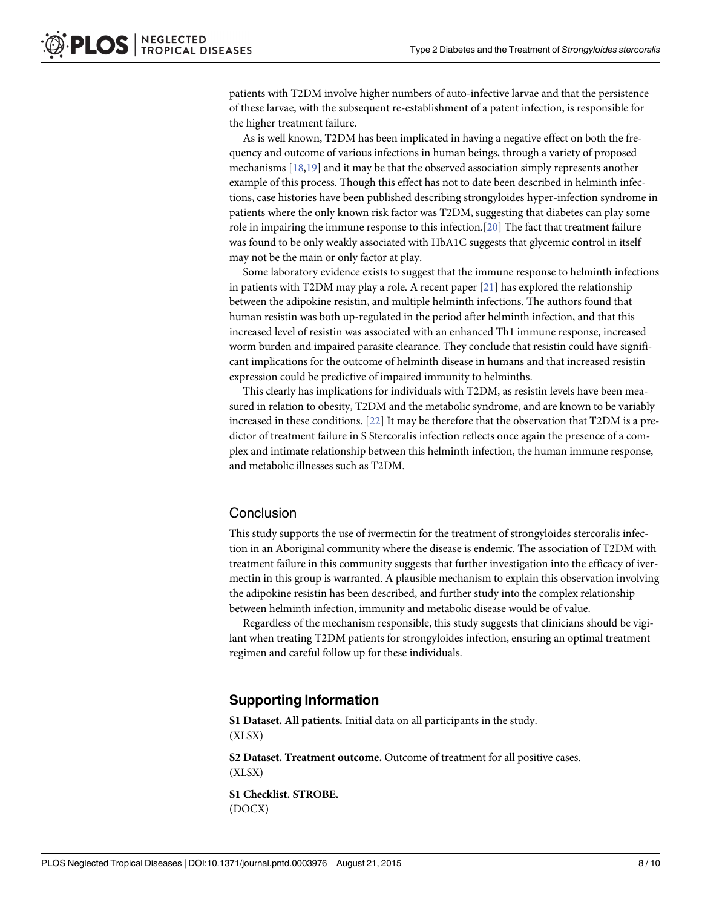<span id="page-7-0"></span>patients with T2DM involve higher numbers of auto-infective larvae and that the persistence of these larvae, with the subsequent re-establishment of a patent infection, is responsible for the higher treatment failure.

As is well known, T2DM has been implicated in having a negative effect on both the frequency and outcome of various infections in human beings, through a variety of proposed mechanisms [\[18,19\]](#page-9-0) and it may be that the observed association simply represents another example of this process. Though this effect has not to date been described in helminth infections, case histories have been published describing strongyloides hyper-infection syndrome in patients where the only known risk factor was T2DM, suggesting that diabetes can play some role in impairing the immune response to this infection.[[20](#page-9-0)] The fact that treatment failure was found to be only weakly associated with HbA1C suggests that glycemic control in itself may not be the main or only factor at play.

Some laboratory evidence exists to suggest that the immune response to helminth infections in patients with T2DM may play a role. A recent paper [[21](#page-9-0)] has explored the relationship between the adipokine resistin, and multiple helminth infections. The authors found that human resistin was both up-regulated in the period after helminth infection, and that this increased level of resistin was associated with an enhanced Th1 immune response, increased worm burden and impaired parasite clearance. They conclude that resistin could have significant implications for the outcome of helminth disease in humans and that increased resistin expression could be predictive of impaired immunity to helminths.

This clearly has implications for individuals with T2DM, as resistin levels have been measured in relation to obesity, T2DM and the metabolic syndrome, and are known to be variably increased in these conditions. [\[22\]](#page-9-0) It may be therefore that the observation that T2DM is a predictor of treatment failure in S Stercoralis infection reflects once again the presence of a complex and intimate relationship between this helminth infection, the human immune response, and metabolic illnesses such as T2DM.

#### Conclusion

This study supports the use of ivermectin for the treatment of strongyloides stercoralis infection in an Aboriginal community where the disease is endemic. The association of T2DM with treatment failure in this community suggests that further investigation into the efficacy of ivermectin in this group is warranted. A plausible mechanism to explain this observation involving the adipokine resistin has been described, and further study into the complex relationship between helminth infection, immunity and metabolic disease would be of value.

Regardless of the mechanism responsible, this study suggests that clinicians should be vigilant when treating T2DM patients for strongyloides infection, ensuring an optimal treatment regimen and careful follow up for these individuals.

# Supporting Information

[S1 Dataset.](http://www.plosone.org/article/fetchSingleRepresentation.action?uri=info:doi/10.1371/journal.pntd.0003976.s001) All patients. Initial data on all participants in the study. (XLSX)

[S2 Dataset.](http://www.plosone.org/article/fetchSingleRepresentation.action?uri=info:doi/10.1371/journal.pntd.0003976.s002) Treatment outcome. Outcome of treatment for all positive cases. (XLSX)

[S1 Checklist.](http://www.plosone.org/article/fetchSingleRepresentation.action?uri=info:doi/10.1371/journal.pntd.0003976.s003) STROBE. (DOCX)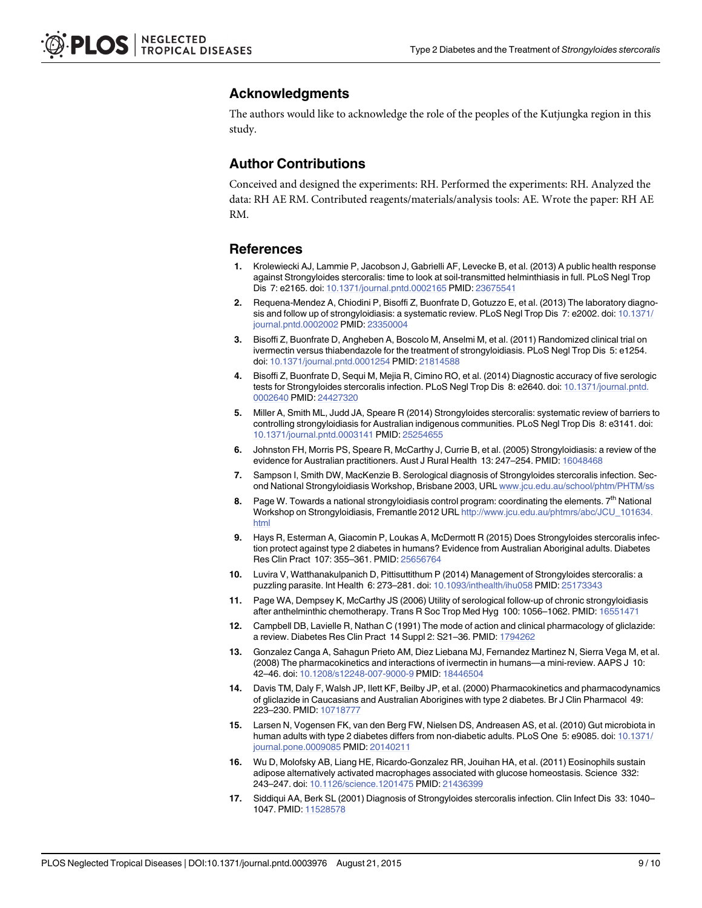# <span id="page-8-0"></span>Acknowledgments

The authors would like to acknowledge the role of the peoples of the Kutjungka region in this study.

# Author Contributions

Conceived and designed the experiments: RH. Performed the experiments: RH. Analyzed the data: RH AE RM. Contributed reagents/materials/analysis tools: AE. Wrote the paper: RH AE RM.

#### References

- [1.](#page-1-0) Krolewiecki AJ, Lammie P, Jacobson J, Gabrielli AF, Levecke B, et al. (2013) A public health response against Strongyloides stercoralis: time to look at soil-transmitted helminthiasis in full. PLoS Negl Trop Dis 7: e2165. doi: [10.1371/journal.pntd.0002165](http://dx.doi.org/10.1371/journal.pntd.0002165) PMID: [23675541](http://www.ncbi.nlm.nih.gov/pubmed/23675541)
- [2.](#page-1-0) Requena-Mendez A, Chiodini P, Bisoffi Z, Buonfrate D, Gotuzzo E, et al. (2013) The laboratory diagno-sis and follow up of strongyloidiasis: a systematic review. PLoS Negl Trop Dis 7: e2002. doi: [10.1371/](http://dx.doi.org/10.1371/journal.pntd.0002002) [journal.pntd.0002002](http://dx.doi.org/10.1371/journal.pntd.0002002) PMID: [23350004](http://www.ncbi.nlm.nih.gov/pubmed/23350004)
- [3.](#page-1-0) Bisoffi Z, Buonfrate D, Angheben A, Boscolo M, Anselmi M, et al. (2011) Randomized clinical trial on ivermectin versus thiabendazole for the treatment of strongyloidiasis. PLoS Negl Trop Dis 5: e1254. doi: [10.1371/journal.pntd.0001254](http://dx.doi.org/10.1371/journal.pntd.0001254) PMID: [21814588](http://www.ncbi.nlm.nih.gov/pubmed/21814588)
- [4.](#page-1-0) Bisoffi Z, Buonfrate D, Sequi M, Mejia R, Cimino RO, et al. (2014) Diagnostic accuracy of five serologic tests for Strongyloides stercoralis infection. PLoS Negl Trop Dis 8: e2640. doi: [10.1371/journal.pntd.](http://dx.doi.org/10.1371/journal.pntd.0002640) [0002640](http://dx.doi.org/10.1371/journal.pntd.0002640) PMID: [24427320](http://www.ncbi.nlm.nih.gov/pubmed/24427320)
- [5.](#page-1-0) Miller A, Smith ML, Judd JA, Speare R (2014) Strongyloides stercoralis: systematic review of barriers to controlling strongyloidiasis for Australian indigenous communities. PLoS Negl Trop Dis 8: e3141. doi: [10.1371/journal.pntd.0003141](http://dx.doi.org/10.1371/journal.pntd.0003141) PMID: [25254655](http://www.ncbi.nlm.nih.gov/pubmed/25254655)
- [6.](#page-2-0) Johnston FH, Morris PS, Speare R, McCarthy J, Currie B, et al. (2005) Strongyloidiasis: a review of the evidence for Australian practitioners. Aust J Rural Health 13: 247–254. PMID: [16048468](http://www.ncbi.nlm.nih.gov/pubmed/16048468)
- [7.](#page-2-0) Sampson I, Smith DW, MacKenzie B. Serological diagnosis of Strongyloides stercoralis infection. Second National Strongyloidiasis Workshop, Brisbane 2003, URL [www.jcu.edu.au/school/phtm/PHTM/ss](http://www.jcu.edu.au/school/phtm/PHTM/ss)
- [8.](#page-2-0) Page W. Towards a national strongyloidiasis control program: coordinating the elements.  $7<sup>th</sup>$  National Workshop on Strongyloidiasis, Fremantle 2012 URL [http://www.jcu.edu.au/phtmrs/abc/JCU\\_101634.](http://www.jcu.edu.au/phtmrs/abc/JCU_101634.html) [html](http://www.jcu.edu.au/phtmrs/abc/JCU_101634.html)
- [9.](#page-2-0) Hays R, Esterman A, Giacomin P, Loukas A, McDermott R (2015) Does Strongyloides stercoralis infection protect against type 2 diabetes in humans? Evidence from Australian Aboriginal adults. Diabetes Res Clin Pract 107: 355–361. PMID: [25656764](http://www.ncbi.nlm.nih.gov/pubmed/25656764)
- [10.](#page-4-0) Luvira V, Watthanakulpanich D, Pittisuttithum P (2014) Management of Strongyloides stercoralis: a puzzling parasite. Int Health 6: 273–281. doi: [10.1093/inthealth/ihu058](http://dx.doi.org/10.1093/inthealth/ihu058) PMID: [25173343](http://www.ncbi.nlm.nih.gov/pubmed/25173343)
- [11.](#page-4-0) Page WA, Dempsey K, McCarthy JS (2006) Utility of serological follow-up of chronic strongyloidiasis after anthelminthic chemotherapy. Trans R Soc Trop Med Hyg 100: 1056–1062. PMID: [16551471](http://www.ncbi.nlm.nih.gov/pubmed/16551471)
- [12.](#page-6-0) Campbell DB, Lavielle R, Nathan C (1991) The mode of action and clinical pharmacology of gliclazide: a review. Diabetes Res Clin Pract 14 Suppl 2: S21-36. PMID: [1794262](http://www.ncbi.nlm.nih.gov/pubmed/1794262)
- [13.](#page-6-0) Gonzalez Canga A, Sahagun Prieto AM, Diez Liebana MJ, Fernandez Martinez N, Sierra Vega M, et al. (2008) The pharmacokinetics and interactions of ivermectin in humans—a mini-review. AAPS J 10: 42–46. doi: [10.1208/s12248-007-9000-9](http://dx.doi.org/10.1208/s12248-007-9000-9) PMID: [18446504](http://www.ncbi.nlm.nih.gov/pubmed/18446504)
- [14.](#page-6-0) Davis TM, Daly F, Walsh JP, Ilett KF, Beilby JP, et al. (2000) Pharmacokinetics and pharmacodynamics of gliclazide in Caucasians and Australian Aborigines with type 2 diabetes. Br J Clin Pharmacol 49: 223–230. PMID: [10718777](http://www.ncbi.nlm.nih.gov/pubmed/10718777)
- [15.](#page-6-0) Larsen N, Vogensen FK, van den Berg FW, Nielsen DS, Andreasen AS, et al. (2010) Gut microbiota in human adults with type 2 diabetes differs from non-diabetic adults. PLoS One 5: e9085. doi: [10.1371/](http://dx.doi.org/10.1371/journal.pone.0009085) [journal.pone.0009085](http://dx.doi.org/10.1371/journal.pone.0009085) PMID: [20140211](http://www.ncbi.nlm.nih.gov/pubmed/20140211)
- [16.](#page-6-0) Wu D, Molofsky AB, Liang HE, Ricardo-Gonzalez RR, Jouihan HA, et al. (2011) Eosinophils sustain adipose alternatively activated macrophages associated with glucose homeostasis. Science 332: 243–247. doi: [10.1126/science.1201475](http://dx.doi.org/10.1126/science.1201475) PMID: [21436399](http://www.ncbi.nlm.nih.gov/pubmed/21436399)
- [17.](#page-6-0) Siddiqui AA, Berk SL (2001) Diagnosis of Strongyloides stercoralis infection. Clin Infect Dis 33: 1040– 1047. PMID: [11528578](http://www.ncbi.nlm.nih.gov/pubmed/11528578)